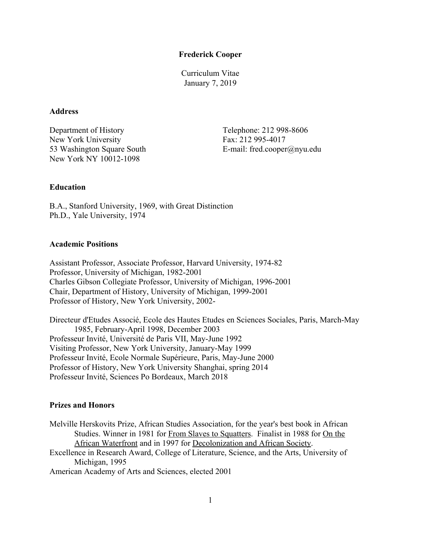#### **Frederick Cooper**

Curriculum Vitae January 7, 2019

# **Address**

Department of History Telephone: 212 998-8606 New York University Fax: 212 995-4017 New York NY 10012-1098

53 Washington Square South E-mail: fred.cooper@nyu.edu

# **Education**

B.A., Stanford University, 1969, with Great Distinction Ph.D., Yale University, 1974

#### **Academic Positions**

Assistant Professor, Associate Professor, Harvard University, 1974-82 Professor, University of Michigan, 1982-2001 Charles Gibson Collegiate Professor, University of Michigan, 1996-2001 Chair, Department of History, University of Michigan, 1999-2001 Professor of History, New York University, 2002-

Directeur d'Etudes Associé, Ecole des Hautes Etudes en Sciences Sociales, Paris, March-May 1985, February-April 1998, December 2003 Professeur Invité, Université de Paris VII, May-June 1992 Visiting Professor, New York University, January-May 1999 Professeur Invité, Ecole Normale Supérieure, Paris, May-June 2000 Professor of History, New York University Shanghai, spring 2014 Professeur Invité, Sciences Po Bordeaux, March 2018

## **Prizes and Honors**

Melville Herskovits Prize, African Studies Association, for the year's best book in African Studies. Winner in 1981 for From Slaves to Squatters. Finalist in 1988 for On the African Waterfront and in 1997 for Decolonization and African Society.

Excellence in Research Award, College of Literature, Science, and the Arts, University of Michigan, 1995

American Academy of Arts and Sciences, elected 2001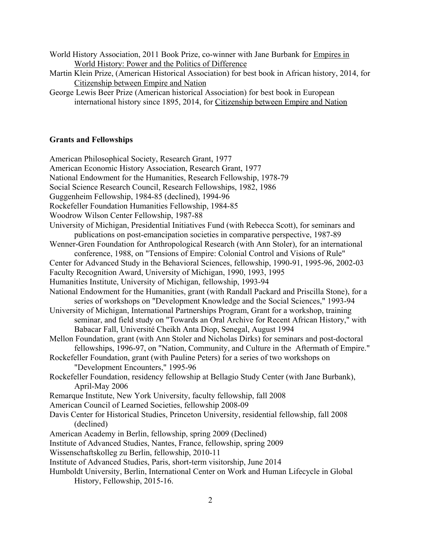- World History Association, 2011 Book Prize, co-winner with Jane Burbank for Empires in World History: Power and the Politics of Difference
- Martin Klein Prize, (American Historical Association) for best book in African history, 2014, for Citizenship between Empire and Nation
- George Lewis Beer Prize (American historical Association) for best book in European international history since 1895, 2014, for Citizenship between Empire and Nation

## **Grants and Fellowships**

American Philosophical Society, Research Grant, 1977 American Economic History Association, Research Grant, 1977 National Endowment for the Humanities, Research Fellowship, 1978-79 Social Science Research Council, Research Fellowships, 1982, 1986 Guggenheim Fellowship, 1984-85 (declined), 1994-96 Rockefeller Foundation Humanities Fellowship, 1984-85 Woodrow Wilson Center Fellowship, 1987-88 University of Michigan, Presidential Initiatives Fund (with Rebecca Scott), for seminars and publications on post-emancipation societies in comparative perspective, 1987-89 Wenner-Gren Foundation for Anthropological Research (with Ann Stoler), for an international conference, 1988, on "Tensions of Empire: Colonial Control and Visions of Rule" Center for Advanced Study in the Behavioral Sciences, fellowship, 1990-91, 1995-96, 2002-03 Faculty Recognition Award, University of Michigan, 1990, 1993, 1995 Humanities Institute, University of Michigan, fellowship, 1993-94 National Endowment for the Humanities, grant (with Randall Packard and Priscilla Stone), for a series of workshops on "Development Knowledge and the Social Sciences," 1993-94 University of Michigan, International Partnerships Program, Grant for a workshop, training seminar, and field study on "Towards an Oral Archive for Recent African History," with Babacar Fall, Université Cheikh Anta Diop, Senegal, August 1994 Mellon Foundation, grant (with Ann Stoler and Nicholas Dirks) for seminars and post-doctoral fellowships, 1996-97, on "Nation, Community, and Culture in the Aftermath of Empire." Rockefeller Foundation, grant (with Pauline Peters) for a series of two workshops on "Development Encounters," 1995-96 Rockefeller Foundation, residency fellowship at Bellagio Study Center (with Jane Burbank), April-May 2006 Remarque Institute, New York University, faculty fellowship, fall 2008 American Council of Learned Societies, fellowship 2008-09 Davis Center for Historical Studies, Princeton University, residential fellowship, fall 2008 (declined) American Academy in Berlin, fellowship, spring 2009 (Declined) Institute of Advanced Studies, Nantes, France, fellowship, spring 2009 Wissenschaftskolleg zu Berlin, fellowship, 2010-11 Institute of Advanced Studies, Paris, short-term visitorship, June 2014 Humboldt University, Berlin, International Center on Work and Human Lifecycle in Global History, Fellowship, 2015-16.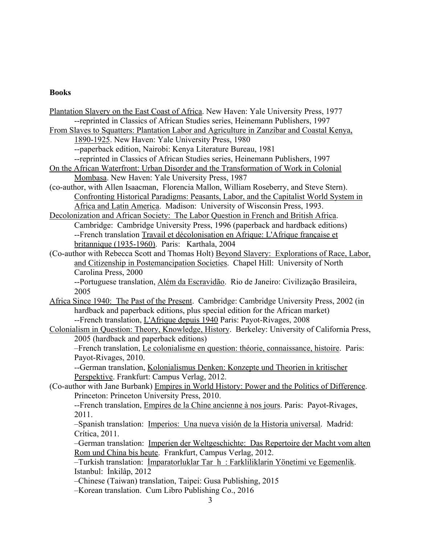# **Books**

| Plantation Slavery on the East Coast of Africa. New Haven: Yale University Press, 1977         |
|------------------------------------------------------------------------------------------------|
| --reprinted in Classics of African Studies series, Heinemann Publishers, 1997                  |
| From Slaves to Squatters: Plantation Labor and Agriculture in Zanzibar and Coastal Kenya,      |
| 1890-1925. New Haven: Yale University Press, 1980                                              |
| --paperback edition, Nairobi: Kenya Literature Bureau, 1981                                    |
| --reprinted in Classics of African Studies series, Heinemann Publishers, 1997                  |
| On the African Waterfront: Urban Disorder and the Transformation of Work in Colonial           |
| Mombasa. New Haven: Yale University Press, 1987                                                |
| (co-author, with Allen Isaacman, Florencia Mallon, William Roseberry, and Steve Stern).        |
| Confronting Historical Paradigms: Peasants, Labor, and the Capitalist World System in          |
| Africa and Latin America. Madison: University of Wisconsin Press, 1993.                        |
| Decolonization and African Society: The Labor Question in French and British Africa.           |
| Cambridge: Cambridge University Press, 1996 (paperback and hardback editions)                  |
| --French translation Travail et décolonisation en Afrique: L'Afrique française et              |
| britannique (1935-1960). Paris: Karthala, 2004                                                 |
| (Co-author with Rebecca Scott and Thomas Holt) Beyond Slavery: Explorations of Race, Labor,    |
| and Citizenship in Postemancipation Societies. Chapel Hill: University of North                |
| Carolina Press, 2000                                                                           |
| --Portuguese translation, Além da Escravidão. Rio de Janeiro: Civilização Brasileira,          |
| 2005                                                                                           |
| Africa Since 1940: The Past of the Present. Cambridge: Cambridge University Press, 2002 (in    |
| hardback and paperback editions, plus special edition for the African market)                  |
| --French translation, <i>L'Afrique depuis 1940 Paris: Payot-Rivages, 2008</i>                  |
| Colonialism in Question: Theory, Knowledge, History. Berkeley: University of California Press, |
| 2005 (hardback and paperback editions)                                                         |
| -French translation, Le colonialisme en question: théorie, connaissance, histoire. Paris:      |
| Payot-Rivages, 2010.                                                                           |
| --German translation, Kolonialismus Denken: Konzepte und Theorien in kritischer                |
| Perspektive. Frankfurt: Campus Verlag, 2012.                                                   |
| (Co-author with Jane Burbank) Empires in World History: Power and the Politics of Difference.  |
| Princeton: Princeton University Press, 2010.                                                   |
| --French translation, <i>Empires de la Chine ancienne à nos jours</i> . Paris: Payot-Rivages,  |
| 2011.                                                                                          |
| -Spanish translation: Imperios: Una nueva visión de la Historia universal. Madrid:             |
| Crítica, 2011.                                                                                 |
| -German translation: Imperien der Weltgeschichte: Das Repertoire der Macht vom alten           |
| Rom und China bis heute. Frankfurt, Campus Verlag, 2012.                                       |
| -Turkish translation: <i>Imparatorluklar Tar h: Farkliliklarin Yönetimi ve Egemenlik</i> .     |
| Istanbul: İnkilâp, 2012                                                                        |
| -Chinese (Taiwan) translation, Taipei: Gusa Publishing, 2015                                   |
| -Korean translation. Cum Libro Publishing Co., 2016                                            |
| 3                                                                                              |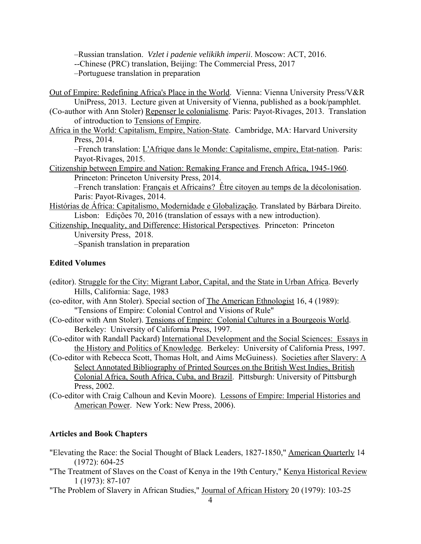–Russian translation. *Vzlet i padenie velikikh imperii*. Moscow: ACT, 2016.

--Chinese (PRC) translation, Beijing: The Commercial Press, 2017

–Portuguese translation in preparation

- Out of Empire: Redefining Africa's Place in the World. Vienna: Vienna University Press/V&R UniPress, 2013. Lecture given at University of Vienna, published as a book/pamphlet.
- (Co-author with Ann Stoler) Repenser le colonialisme. Paris: Payot-Rivages, 2013. Translation of introduction to Tensions of Empire.
- Africa in the World: Capitalism, Empire, Nation-State. Cambridge, MA: Harvard University Press, 2014.

–French translation: L'Afrique dans le Monde: Capitalisme, empire, Etat-nation. Paris: Payot-Rivages, 2015.

Citizenship between Empire and Nation: Remaking France and French Africa, 1945-1960. Princeton: Princeton University Press, 2014.

–French translation: Français et Africains? Être citoyen au temps de la décolonisation. Paris: Payot-Rivages, 2014.

- Histórias de África: Capitalismo, Modernidade e Globalização*.* Translated by Bárbara Direito. Lisbon: Edições 70, 2016 (translation of essays with a new introduction).
- Citizenship, Inequality, and Difference: Historical Perspectives. Princeton: Princeton University Press, 2018.

–Spanish translation in preparation

### **Edited Volumes**

- (editor). Struggle for the City: Migrant Labor, Capital, and the State in Urban Africa. Beverly Hills, California: Sage, 1983
- (co-editor, with Ann Stoler). Special section of The American Ethnologist 16, 4 (1989): "Tensions of Empire: Colonial Control and Visions of Rule"
- (Co-editor with Ann Stoler). Tensions of Empire: Colonial Cultures in a Bourgeois World. Berkeley: University of California Press, 1997.
- (Co-editor with Randall Packard) International Development and the Social Sciences: Essays in the History and Politics of Knowledge. Berkeley: University of California Press, 1997.
- (Co-editor with Rebecca Scott, Thomas Holt, and Aims McGuiness). Societies after Slavery: A Select Annotated Bibliography of Printed Sources on the British West Indies, British Colonial Africa, South Africa, Cuba, and Brazil. Pittsburgh: University of Pittsburgh Press, 2002.
- (Co-editor with Craig Calhoun and Kevin Moore). Lessons of Empire: Imperial Histories and American Power. New York: New Press, 2006).

# **Articles and Book Chapters**

- "Elevating the Race: the Social Thought of Black Leaders, 1827-1850," American Quarterly 14 (1972): 604-25
- "The Treatment of Slaves on the Coast of Kenya in the 19th Century," Kenya Historical Review 1 (1973): 87-107
- "The Problem of Slavery in African Studies," Journal of African History 20 (1979): 103-25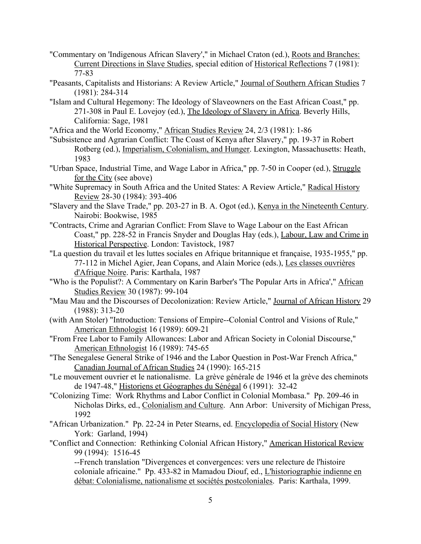- "Commentary on 'Indigenous African Slavery'," in Michael Craton (ed.), Roots and Branches: Current Directions in Slave Studies, special edition of Historical Reflections 7 (1981): 77-83
- "Peasants, Capitalists and Historians: A Review Article," Journal of Southern African Studies 7 (1981): 284-314
- "Islam and Cultural Hegemony: The Ideology of Slaveowners on the East African Coast," pp. 271-308 in Paul E. Lovejoy (ed.), The Ideology of Slavery in Africa. Beverly Hills, California: Sage, 1981
- "Africa and the World Economy," African Studies Review 24, 2/3 (1981): 1-86
- "Subsistence and Agrarian Conflict: The Coast of Kenya after Slavery," pp. 19-37 in Robert Rotberg (ed.), Imperialism, Colonialism, and Hunger. Lexington, Massachusetts: Heath, 1983
- "Urban Space, Industrial Time, and Wage Labor in Africa," pp. 7-50 in Cooper (ed.), Struggle for the City (see above)
- "White Supremacy in South Africa and the United States: A Review Article," Radical History Review 28-30 (1984): 393-406
- "Slavery and the Slave Trade," pp. 203-27 in B. A. Ogot (ed.), Kenya in the Nineteenth Century. Nairobi: Bookwise, 1985
- "Contracts, Crime and Agrarian Conflict: From Slave to Wage Labour on the East African Coast," pp. 228-52 in Francis Snyder and Douglas Hay (eds.), Labour, Law and Crime in Historical Perspective. London: Tavistock, 1987
- "La question du travail et les luttes sociales en Afrique britannique et française, 1935-1955," pp. 77-112 in Michel Agier, Jean Copans, and Alain Morice (eds.), Les classes ouvrières d'Afrique Noire. Paris: Karthala, 1987
- "Who is the Populist?: A Commentary on Karin Barber's 'The Popular Arts in Africa'," African Studies Review 30 (1987): 99-104
- "Mau Mau and the Discourses of Decolonization: Review Article," Journal of African History 29 (1988): 313-20
- (with Ann Stoler) "Introduction: Tensions of Empire--Colonial Control and Visions of Rule," American Ethnologist 16 (1989): 609-21
- "From Free Labor to Family Allowances: Labor and African Society in Colonial Discourse," American Ethnologist 16 (1989): 745-65
- "The Senegalese General Strike of 1946 and the Labor Question in Post-War French Africa," Canadian Journal of African Studies 24 (1990): 165-215
- "Le mouvement ouvrier et le nationalisme. La grève générale de 1946 et la grève des cheminots de 1947-48," Historiens et Géographes du Sénégal 6 (1991): 32-42
- "Colonizing Time: Work Rhythms and Labor Conflict in Colonial Mombasa." Pp. 209-46 in Nicholas Dirks, ed., Colonialism and Culture. Ann Arbor: University of Michigan Press, 1992
- "African Urbanization." Pp. 22-24 in Peter Stearns, ed. Encyclopedia of Social History (New York: Garland, 1994)
- "Conflict and Connection: Rethinking Colonial African History," American Historical Review 99 (1994): 1516-45

--French translation "Divergences et convergences: vers une relecture de l'histoire coloniale africaine." Pp. 433-82 in Mamadou Diouf, ed., L'historiographie indienne en débat: Colonialisme, nationalisme et sociétés postcoloniales. Paris: Karthala, 1999.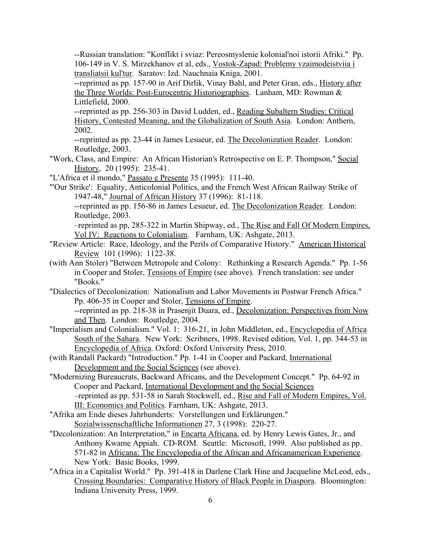--Russian translation: "Konflikt i sviaz: Pereosmyslenie kolonial'noi istorii Afriki." Pp. 106-149 in V. S. Mirzekhanov et al, eds., Vostok-Zapad: Problemy vzaimodeistviia i transliatsii kul'tur. Saratov: Izd. Nauchnaia Kniga, 2001.

--reprinted as pp. 157-90 in Arif Dirlik, Vinay Bahl, and Peter Gran, eds., History after the Three Worlds: Post-Eurocentric Historiographies. Lanham, MD: Rowman & Littlefield, 2000.

--reprinted as pp. 256-303 in David Ludden, ed., Reading Subaltern Studies: Critical History, Contested Meaning, and the Globalization of South Asia. London: Anthem, 2002.

--reprinted as pp. 23-44 in James Lesueur, ed. The Decolonization Reader. London: Routledge, 2003.

- "Work, Class, and Empire: An African Historian's Retrospective on E. P. Thompson," Social History, 20 (1995): 235-41.
- "L'Africa et il mondo," Passato e Presente 35 (1995): 111-40.
- "'Our Strike': Equality, Anticolonial Politics, and the French West African Railway Strike of 1947-48," Journal of African History 37 (1996): 81-118.

--reprinted as pp. 156-86 in James Lesueur, ed. The Decolonization Reader. London: Routledge, 2003.

–reprinted as pp, 285-322 in Martin Shipway, ed., The Rise and Fall Of Modern Empires, Vol IV: Reactions to Colonialism. Farnham, UK: Ashgate, 2013.

- "Review Article: Race, Ideology, and the Perils of Comparative History." American Historical Review 101 (1996): 1122-38.
- (with Ann Stoler) "Between Metropole and Colony: Rethinking a Research Agenda." Pp. 1-56 in Cooper and Stoler, Tensions of Empire (see above). French translation: see under "Books."

"Dialectics of Decolonization: Nationalism and Labor Movements in Postwar French Africa." Pp. 406-35 in Cooper and Stoler, Tensions of Empire.

--reprinted as pp. 218-38 in Prasenjit Duara, ed., Decolonization: Perspectives from Now and Then. London: Routledge, 2004.

- "Imperialism and Colonialism." Vol. 1: 316-21, in John Middleton, ed., Encyclopedia of Africa South of the Sahara. New York: Scribners, 1998. Revised edition, Vol. 1, pp. 344-53 in Encyclopedia of Africa. Oxford: Oxford University Press, 2010.
- (with Randall Packard) "Introduction." Pp. 1-41 in Cooper and Packard, International Development and the Social Sciences (see above).
- "Modernizing Bureaucrats, Backward Africans, and the Development Concept." Pp. 64-92 in Cooper and Packard, International Development and the Social Sciences –reprinted as pp. 531-58 in Sarah Stockwell, ed., Rise and Fall of Modern Empires, Vol. III: Economics and Politics. Farnham, UK: Ashgate, 2013.
- "Afrika am Ende dieses Jahrhunderts: Vorstellungen und Erklärungen." Sozialwissenschaftliche Informationen 27, 3 (1998): 220-27.
- "Decolonization: An Interpretation," in Encarta Africana, ed. by Henry Lewis Gates, Jr., and Anthony Kwame Appiah. CD-ROM. Seattle: Microsoft, 1999. Also published as pp. 571-82 in Africana: The Encyclopedia of the African and Africanamerican Experience. New York: Basic Books, 1999.
- "Africa in a Capitalist World." Pp. 391-418 in Darlene Clark Hine and Jacqueline McLeod, eds., Crossing Boundaries: Comparative History of Black People in Diaspora. Bloomington: Indiana University Press, 1999.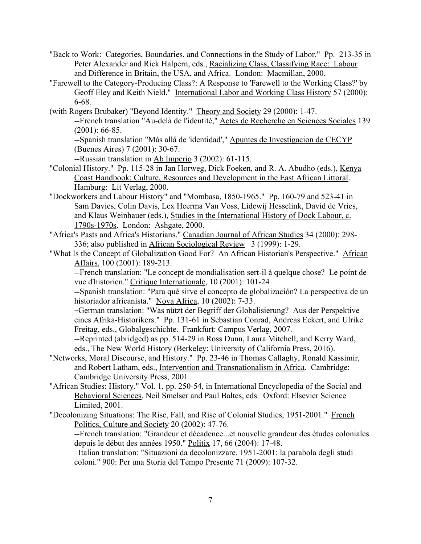- "Back to Work: Categories, Boundaries, and Connections in the Study of Labor." Pp. 213-35 in Peter Alexander and Rick Halpern, eds., Racializing Class, Classifying Race: Labour and Difference in Britain, the USA, and Africa. London: Macmillan, 2000.
- "Farewell to the Category-Producing Class?: A Response to 'Farewell to the Working Class?' by Geoff Eley and Keith Nield." International Labor and Working Class History 57 (2000): 6-68.
- (with Rogers Brubaker) "Beyond Identity." Theory and Society 29 (2000): 1-47. --French translation "Au-delà de l'identité," Actes de Recherche en Sciences Sociales 139 (2001): 66-85.

--Spanish translation "Más allá de 'identidad'," Apuntes de Investigacion de CECYP (Buenes Aires) 7 (2001): 30-67.

--Russian translation in Ab Imperio 3 (2002): 61-115.

- "Colonial History." Pp. 115-28 in Jan Horweg, Dick Foeken, and R. A. Abudho (eds.), Kenya Coast Handbook: Culture, Resources and Development in the East African Littoral. Hamburg: Lit Verlag, 2000.
- "Dockworkers and Labour History" and "Mombasa, 1850-1965." Pp. 160-79 and 523-41 in Sam Davies, Colin Davis, Lex Heerma Van Voss, Lidewij Hesselink, David de Vries, and Klaus Weinhauer (eds.), Studies in the International History of Dock Labour, c. 1790s-1970s. London: Ashgate, 2000.
- "Africa's Pasts and Africa's Historians." Canadian Journal of African Studies 34 (2000): 298- 336; also published in African Sociological Review 3 (1999): 1-29.
- "What Is the Concept of Globalization Good For? An African Historian's Perspective." African Affairs, 100 (2001): 189-213.

--French translation: "Le concept de mondialisation sert-il à quelque chose? Le point de vue d'historien." Critique Internationale, 10 (2001): 101-24

--Spanish translation: "Para qué sirve el concepto de globalización? La perspectiva de un historiador africanista." Nova Africa, 10 (2002): 7-33.

BGerman translation: "Was nützt der Begriff der Globalisierung? Aus der Perspektive eines Afrika-Historikers." Pp. 131-61 in Sebastian Conrad, Andreas Eckert, and Ulrike Freitag, eds., Globalgeschichte. Frankfurt: Campus Verlag, 2007.

--Reprinted (abridged) as pp. 514-29 in Ross Dunn, Laura Mitchell, and Kerry Ward, eds., The New World History (Berkeley: University of California Press, 2016).

- "Networks, Moral Discourse, and History." Pp. 23-46 in Thomas Callaghy, Ronald Kassimir, and Robert Latham, eds., Intervention and Transnationalism in Africa. Cambridge: Cambridge University Press, 2001.
- "African Studies: History." Vol. 1, pp. 250-54, in International Encyclopedia of the Social and Behavioral Sciences, Neil Smelser and Paul Baltes, eds. Oxford: Elsevier Science Limited, 2001.
- "Decolonizing Situations: The Rise, Fall, and Rise of Colonial Studies, 1951-2001." French Politics, Culture and Society 20 (2002): 47-76.

--French translation: "Grandeur et décadence...et nouvelle grandeur des études coloniales depuis le début des années 1950." Politix 17, 66 (2004): 17-48.

–Italian translation: "Situazioni da decolonizzare. 1951-2001: la parabola degli studi coloni." 900: Per una Storia del Tempo Presente 71 (2009): 107-32.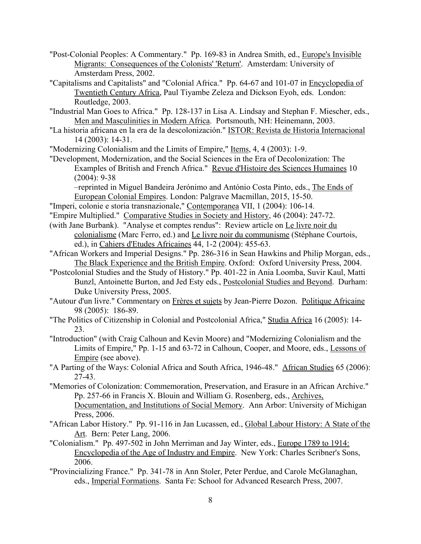- "Post-Colonial Peoples: A Commentary." Pp. 169-83 in Andrea Smith, ed., Europe's Invisible Migrants: Consequences of the Colonists' 'Return'. Amsterdam: University of Amsterdam Press, 2002.
- "Capitalisms and Capitalists" and "Colonial Africa." Pp. 64-67 and 101-07 in Encyclopedia of Twentieth Century Africa, Paul Tiyambe Zeleza and Dickson Eyoh, eds. London: Routledge, 2003.
- "Industrial Man Goes to Africa." Pp. 128-137 in Lisa A. Lindsay and Stephan F. Miescher, eds., Men and Masculinities in Modern Africa. Portsmouth, NH: Heinemann, 2003.
- "La historia africana en la era de la descolonización." ISTOR: Revista de Historia Internacional 14 (2003): 14-31.
- "Modernizing Colonialism and the Limits of Empire," Items, 4, 4 (2003): 1-9.
- "Development, Modernization, and the Social Sciences in the Era of Decolonization: The Examples of British and French Africa." Revue d'Histoire des Sciences Humaines 10 (2004): 9-38

–reprinted in Miguel Bandeira Jerónimo and António Costa Pinto, eds., The Ends of European Colonial Empires. London: Palgrave Macmillan, 2015, 15-50.

- "Imperi, colonie e storia transnazionale," Contemporanea VII, 1 (2004): 106-14.
- "Empire Multiplied." Comparative Studies in Society and History, 46 (2004): 247-72.
- (with Jane Burbank). "Analyse et comptes rendus": Review article on Le livre noir du colonialisme (Marc Ferro, ed.) and Le livre noir du communisme (Stéphane Courtois, ed.), in Cahiers d'Etudes Africaines 44, 1-2 (2004): 455-63.
- "African Workers and Imperial Designs." Pp. 286-316 in Sean Hawkins and Philip Morgan, eds., The Black Experience and the British Empire. Oxford: Oxford University Press, 2004.
- "Postcolonial Studies and the Study of History." Pp. 401-22 in Ania Loomba, Suvir Kaul, Matti Bunzl, Antoinette Burton, and Jed Esty eds., Postcolonial Studies and Beyond. Durham: Duke University Press, 2005.
- "Autour d'un livre." Commentary on Frères et sujets by Jean-Pierre Dozon. Politique Africaine 98 (2005): 186-89.
- "The Politics of Citizenship in Colonial and Postcolonial Africa," Studia Africa 16 (2005): 14-23.
- "Introduction" (with Craig Calhoun and Kevin Moore) and "Modernizing Colonialism and the Limits of Empire," Pp. 1-15 and 63-72 in Calhoun, Cooper, and Moore, eds., Lessons of Empire (see above).
- "A Parting of the Ways: Colonial Africa and South Africa, 1946-48." African Studies 65 (2006): 27-43.
- "Memories of Colonization: Commemoration, Preservation, and Erasure in an African Archive." Pp. 257-66 in Francis X. Blouin and William G. Rosenberg, eds., Archives, Documentation, and Institutions of Social Memory. Ann Arbor: University of Michigan Press, 2006.
- "African Labor History." Pp. 91-116 in Jan Lucassen, ed., Global Labour History: A State of the Art. Bern: Peter Lang, 2006.
- "Colonialism." Pp. 497-502 in John Merriman and Jay Winter, eds., Europe 1789 to 1914: Encyclopedia of the Age of Industry and Empire. New York: Charles Scribner's Sons, 2006.
- "Provincializing France." Pp. 341-78 in Ann Stoler, Peter Perdue, and Carole McGlanaghan, eds., Imperial Formations. Santa Fe: School for Advanced Research Press, 2007.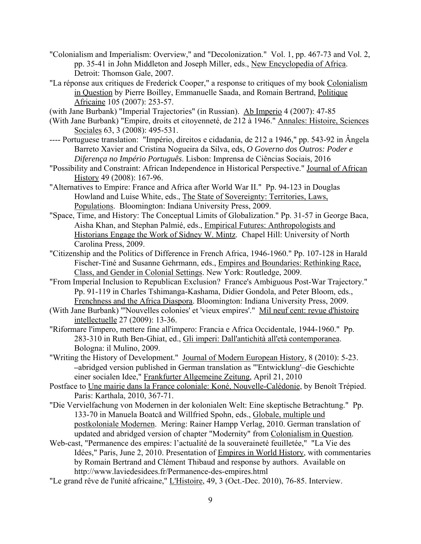- "Colonialism and Imperialism: Overview," and "Decolonization." Vol. 1, pp. 467-73 and Vol. 2, pp. 35-41 in John Middleton and Joseph Miller, eds., New Encyclopedia of Africa. Detroit: Thomson Gale, 2007.
- "La réponse aux critiques de Frederick Cooper," a response to critiques of my book Colonialism in Question by Pierre Boilley, Emmanuelle Saada, and Romain Bertrand, Politique Africaine 105 (2007): 253-57.
- (with Jane Burbank) "Imperial Trajectories" (in Russian). Ab Imperio 4 (2007): 47-85
- (With Jane Burbank) "Empire, droits et citoyenneté, de 212 à 1946." Annales: Histoire, Sciences Sociales 63, 3 (2008): 495-531.
- ---- Portuguese translation: "Império, direitos e cidadania, de 212 a 1946," pp. 543-92 in Ângela Barreto Xavier and Cristina Nogueira da Silva, eds, *O Governo dos Outros: Poder e Diferença no Império Português*. Lisbon: Imprensa de Ciências Sociais, 2016
- "Possibility and Constraint: African Independence in Historical Perspective." Journal of African History 49 (2008): 167-96.
- "Alternatives to Empire: France and Africa after World War II." Pp. 94-123 in Douglas Howland and Luise White, eds., The State of Sovereignty: Territories, Laws, Populations. Bloomington: Indiana University Press, 2009.
- "Space, Time, and History: The Conceptual Limits of Globalization." Pp. 31-57 in George Baca, Aisha Khan, and Stephan Palmié, eds., Empirical Futures: Anthropologists and Historians Engage the Work of Sidney W. Mintz. Chapel Hill: University of North Carolina Press, 2009.
- "Citizenship and the Politics of Difference in French Africa, 1946-1960." Pp. 107-128 in Harald Fischer-Tiné and Susanne Gehrmann, eds., Empires and Boundaries: Rethinking Race, Class, and Gender in Colonial Settings. New York: Routledge, 2009.
- "From Imperial Inclusion to Republican Exclusion? France's Ambiguous Post-War Trajectory." Pp. 91-119 in Charles Tshimanga-Kashama, Didier Gondola, and Peter Bloom, eds., Frenchness and the Africa Diaspora. Bloomington: Indiana University Press, 2009.
- (With Jane Burbank) "'Nouvelles colonies' et 'vieux empires'." Mil neuf cent: revue d'histoire intellectuelle 27 (2009): 13-36.
- "Riformare l'impero, mettere fine all'impero: Francia e Africa Occidentale, 1944-1960." Pp. 283-310 in Ruth Ben-Ghiat, ed., Gli imperi: Dall'antichità all'età contemporanea. Bologna: il Mulino, 2009.
- "Writing the History of Development." Journal of Modern European History, 8 (2010): 5-23. **–**abridged version published in German translation as "'Entwicklung'–die Geschichte einer socialen Idee," Frankfurter Allgemeine Zeitung, April 21, 2010
- Postface to Une mairie dans la France coloniale: Koné, Nouvelle-Calédonie, by Benoît Trépied. Paris: Karthala, 2010, 367-71.
- "Die Vervielfachung von Modernen in der kolonialen Welt: Eine skeptische Betrachtung." Pp. 133-70 in Manuela Boatcă and Willfried Spohn, eds., Globale, multiple und postkoloniale Modernen. Mering: Rainer Hampp Verlag, 2010. German translation of updated and abridged version of chapter "Modernity" from Colonialism in Question.
- Web-cast, "Permanence des empires: l'actualité de la souveraineté feuilletée," "La Vie des Idées," Paris, June 2, 2010. Presentation of Empires in World History, with commentaries by Romain Bertrand and Clément Thibaud and response by authors. Available on http://www.laviedesidees.fr/Permanence-des-empires.html
- "Le grand rêve de l'unité africaine," L'Histoire, 49, 3 (Oct.-Dec. 2010), 76-85. Interview.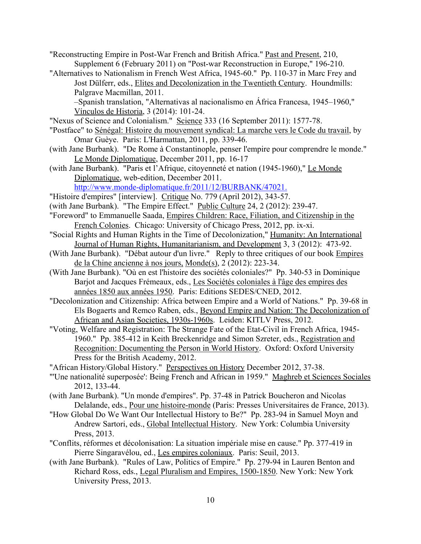"Reconstructing Empire in Post-War French and British Africa." Past and Present, 210, Supplement 6 (February 2011) on "Post-war Reconstruction in Europe," 196-210. "Alternatives to Nationalism in French West Africa, 1945-60." Pp. 110-37 in Marc Frey and Jost Dülferr, eds., Elites and Decolonization in the Twentieth Century. Houndmills: Palgrave Macmillan, 2011. –Spanish translation, "Alternativas al nacionalismo en África Francesa, 1945–1960,"

Vínculos de Historia, 3 (2014): 101-24.

"Nexus of Science and Colonialism." Science 333 (16 September 2011): 1577-78.

"Postface" to Sénégal: Histoire du mouvement syndical: La marche vers le Code du travail, by Omar Guèye. Paris: L'Harmattan, 2011, pp. 339-46.

- (with Jane Burbank). "De Rome à Constantinople, penser l'empire pour comprendre le monde." Le Monde Diplomatique, December 2011, pp. 16-17
- (with Jane Burbank). "Paris et l'Afrique, citoyenneté et nation (1945-1960)," Le Monde Diplomatique, web-edition, December 2011.

http://www.monde-diplomatique.fr/2011/12/BURBANK/47021.

- "Histoire d'empires" [interview]. Critique No. 779 (April 2012), 343-57.
- (with Jane Burbank). "The Empire Effect." Public Culture 24, 2 (2012): 239-47.
- "Foreword" to Emmanuelle Saada, Empires Children: Race, Filiation, and Citizenship in the French Colonies. Chicago: University of Chicago Press, 2012, pp. ix-xi.
- "Social Rights and Human Rights in the Time of Decolonization," Humanity: An International Journal of Human Rights, Humanitarianism, and Development 3, 3 (2012): 473-92.
- (With Jane Burbank). "Débat autour d'un livre." Reply to three critiques of our book Empires de la Chine ancienne à nos jours, Monde(s), 2 (2012): 223-34.
- (With Jane Burbank). "Où en est l'histoire des sociétés coloniales?" Pp. 340-53 in Dominique Barjot and Jacques Frémeaux, eds., Les Sociétés coloniales à l'âge des empires des années 1850 aux années 1950. Paris: Editions SEDES/CNED, 2012.
- "Decolonization and Citizenship: Africa between Empire and a World of Nations." Pp. 39-68 in Els Bogaerts and Remco Raben, eds., Beyond Empire and Nation: The Decolonization of African and Asian Societies, 1930s-1960s. Leiden: KITLV Press, 2012.
- "Voting, Welfare and Registration: The Strange Fate of the Etat-Civil in French Africa, 1945- 1960." Pp. 385-412 in Keith Breckenridge and Simon Szreter, eds., Registration and Recognition: Documenting the Person in World History. Oxford: Oxford University Press for the British Academy, 2012.

"African History/Global History." Perspectives on History December 2012, 37-38.

- "'Une nationalité superposée': Being French and African in 1959." Maghreb et Sciences Sociales 2012, 133-44.
- (with Jane Burbank). "Un monde d'empires". Pp. 37-48 in Patrick Boucheron and Nicolas Delalande, eds., Pour une histoire-monde (Paris: Presses Universitaires de France, 2013).
- "How Global Do We Want Our Intellectual History to Be?" Pp. 283-94 in Samuel Moyn and Andrew Sartori, eds., Global Intellectual History. New York: Columbia University Press, 2013.
- "Conflits, réformes et décolonisation: La situation impériale mise en cause." Pp. 377-419 in Pierre Singaravélou, ed., Les empires coloniaux. Paris: Seuil, 2013.
- (with Jane Burbank). "Rules of Law, Politics of Empire." Pp. 279-94 in Lauren Benton and Richard Ross, eds., Legal Pluralism and Empires, 1500-1850. New York: New York University Press, 2013.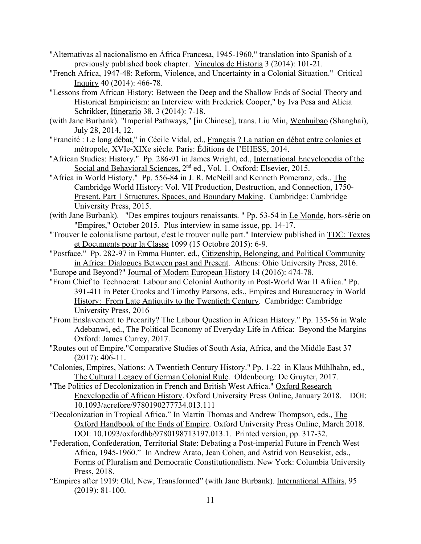- "Alternativas al nacionalismo en África Francesa, 1945-1960," translation into Spanish of a previously published book chapter. Vínculos de Historia 3 (2014): 101-21.
- "French Africa, 1947-48: Reform, Violence, and Uncertainty in a Colonial Situation." Critical  $Inquiry$  40 (2014): 466-78.
- "Lessons from African History: Between the Deep and the Shallow Ends of Social Theory and Historical Empiricism: an Interview with Frederick Cooper," by Iva Pesa and Alicia Schrikker, Itinerario 38, 3 (2014): 7-18.
- (with Jane Burbank). "Imperial Pathways," [in Chinese], trans. Liu Min, Wenhuibao (Shanghai), July 28, 2014, 12.
- "Francité : Le long débat," in Cécile Vidal, ed., Français ? La nation en débat entre colonies et métropole, XVIe-XIXe siècle*.* Paris: Éditions de l'EHESS, 2014.
- "African Studies: History." Pp. 286-91 in James Wright, ed., International Encyclopedia of the Social and Behavioral Sciences, 2<sup>nd</sup> ed., Vol. 1. Oxford: Elsevier, 2015.
- "Africa in World History." Pp. 556-84 in J. R. McNeill and Kenneth Pomeranz, eds., The Cambridge World History: Vol. VII Production, Destruction, and Connection, 1750- Present, Part 1 Structures, Spaces, and Boundary Making. Cambridge: Cambridge University Press, 2015.
- (with Jane Burbank). "Des empires toujours renaissants. " Pp. 53-54 in Le Monde, hors-série on "Empires," October 2015. Plus interview in same issue, pp. 14-17.
- "Trouver le colonialisme partout, c'est le trouver nulle part." Interview published in TDC: Textes et Documents pour la Classe 1099 (15 Octobre 2015): 6-9.
- "Postface." Pp. 282-97 in Emma Hunter, ed., Citizenship, Belonging, and Political Community in Africa: Dialogues Between past and Present. Athens: Ohio University Press, 2016.
- "Europe and Beyond?" Journal of Modern European History 14 (2016): 474-78.
- "From Chief to Technocrat: Labour and Colonial Authority in Post-World War II Africa." Pp. 391-411 in Peter Crooks and Timothy Parsons, eds., Empires and Bureaucracy in World History: From Late Antiquity to the Twentieth Century. Cambridge: Cambridge University Press, 2016
- "From Enslavement to Precarity? The Labour Question in African History." Pp. 135-56 in Wale Adebanwi, ed., The Political Economy of Everyday Life in Africa: Beyond the Margins Oxford: James Currey, 2017.
- "Routes out of Empire."Comparative Studies of South Asia, Africa, and the Middle East 37 (2017): 406-11.
- "Colonies, Empires, Nations: A Twentieth Century History." Pp. 1-22 in Klaus Mühlhahn, ed., The Cultural Legacy of German Colonial Rule. Oldenbourg: De Gruyter, 2017.
- "The Politics of Decolonization in French and British West Africa." Oxford Research Encyclopedia of African History. Oxford University Press Online, January 2018. DOI: 10.1093/acrefore/9780190277734.013.111
- "Decolonization in Tropical Africa." In Martin Thomas and Andrew Thompson, eds., The Oxford Handbook of the Ends of Empire*.* Oxford University Press Online, March 2018. DOI: 10.1093/oxfordhb/9780198713197.013.1. Printed version, pp. 317-32.
- "Federation, Confederation, Territorial State: Debating a Post-imperial Future in French West Africa, 1945-1960." In Andrew Arato, Jean Cohen, and Astrid von Beusekist, eds., Forms of Pluralism and Democratic Constitutionalism. New York: Columbia University Press, 2018.
- "Empires after 1919: Old, New, Transformed" (with Jane Burbank). International Affairs, 95 (2019): 81-100.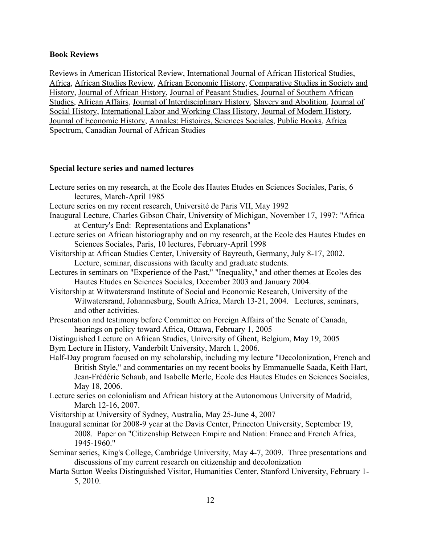# **Book Reviews**

Reviews in American Historical Review, International Journal of African Historical Studies, Africa, African Studies Review, African Economic History, Comparative Studies in Society and History, Journal of African History, Journal of Peasant Studies, Journal of Southern African Studies, African Affairs, Journal of Interdisciplinary History, Slavery and Abolition, Journal of Social History, International Labor and Working Class History, Journal of Modern History, Journal of Economic History, Annales: Histoires, Sciences Sociales, Public Books, Africa Spectrum, Canadian Journal of African Studies

### **Special lecture series and named lectures**

- Lecture series on my research, at the Ecole des Hautes Etudes en Sciences Sociales, Paris, 6 lectures, March-April 1985 Lecture series on my recent research, Université de Paris VII, May 1992
- Inaugural Lecture, Charles Gibson Chair, University of Michigan, November 17, 1997: "Africa

at Century's End: Representations and Explanations"

- Lecture series on African historiography and on my research, at the Ecole des Hautes Etudes en Sciences Sociales, Paris, 10 lectures, February-April 1998
- Visitorship at African Studies Center, University of Bayreuth, Germany, July 8-17, 2002. Lecture, seminar, discussions with faculty and graduate students.
- Lectures in seminars on "Experience of the Past," "Inequality," and other themes at Ecoles des Hautes Etudes en Sciences Sociales, December 2003 and January 2004.
- Visitorship at Witwatersrand Institute of Social and Economic Research, University of the Witwatersrand, Johannesburg, South Africa, March 13-21, 2004. Lectures, seminars, and other activities.
- Presentation and testimony before Committee on Foreign Affairs of the Senate of Canada, hearings on policy toward Africa, Ottawa, February 1, 2005

Distinguished Lecture on African Studies, University of Ghent, Belgium, May 19, 2005

- Byrn Lecture in History, Vanderbilt University, March 1, 2006.
- Half-Day program focused on my scholarship, including my lecture "Decolonization, French and British Style," and commentaries on my recent books by Emmanuelle Saada, Keith Hart, Jean-Frédéric Schaub, and Isabelle Merle, Ecole des Hautes Etudes en Sciences Sociales, May 18, 2006.
- Lecture series on colonialism and African history at the Autonomous University of Madrid, March 12-16, 2007.
- Visitorship at University of Sydney, Australia, May 25-June 4, 2007
- Inaugural seminar for 2008-9 year at the Davis Center, Princeton University, September 19, 2008. Paper on "Citizenship Between Empire and Nation: France and French Africa, 1945-1960."
- Seminar series, King's College, Cambridge University, May 4-7, 2009. Three presentations and discussions of my current research on citizenship and decolonization
- Marta Sutton Weeks Distinguished Visitor, Humanities Center, Stanford University, February 1- 5, 2010.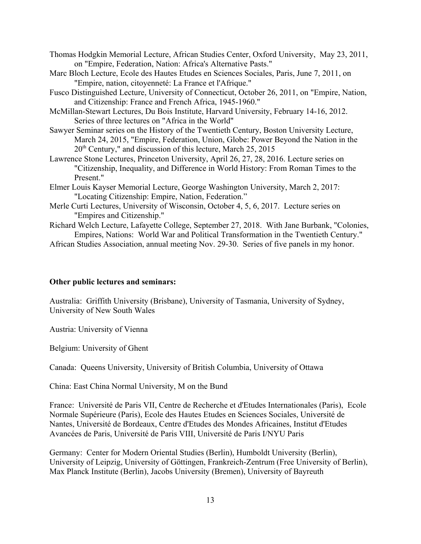| Thomas Hodgkin Memorial Lecture, African Studies Center, Oxford University, May 23, 2011, |  |
|-------------------------------------------------------------------------------------------|--|
| on "Empire, Federation, Nation: Africa's Alternative Pasts."                              |  |

- Marc Bloch Lecture, Ecole des Hautes Etudes en Sciences Sociales, Paris, June 7, 2011, on "Empire, nation, citoyenneté: La France et l'Afrique."
- Fusco Distinguished Lecture, University of Connecticut, October 26, 2011, on "Empire, Nation, and Citizenship: France and French Africa, 1945-1960."
- McMillan-Stewart Lectures, Du Bois Institute, Harvard University, February 14-16, 2012. Series of three lectures on "Africa in the World"
- Sawyer Seminar series on the History of the Twentieth Century, Boston University Lecture, March 24, 2015, "Empire, Federation, Union, Globe: Power Beyond the Nation in the  $20<sup>th</sup>$  Century," and discussion of this lecture, March 25, 2015
- Lawrence Stone Lectures, Princeton University, April 26, 27, 28, 2016. Lecture series on "Citizenship, Inequality, and Difference in World History: From Roman Times to the Present."
- Elmer Louis Kayser Memorial Lecture, George Washington University, March 2, 2017: "Locating Citizenship: Empire, Nation, Federation."
- Merle Curti Lectures, University of Wisconsin, October 4, 5, 6, 2017. Lecture series on "Empires and Citizenship."
- Richard Welch Lecture, Lafayette College, September 27, 2018. With Jane Burbank, "Colonies, Empires, Nations: World War and Political Transformation in the Twentieth Century."

African Studies Association, annual meeting Nov. 29-30. Series of five panels in my honor.

#### **Other public lectures and seminars:**

Australia: Griffith University (Brisbane), University of Tasmania, University of Sydney, University of New South Wales

Austria: University of Vienna

Belgium: University of Ghent

Canada: Queens University, University of British Columbia, University of Ottawa

China: East China Normal University, M on the Bund

France: Université de Paris VII, Centre de Recherche et d'Etudes Internationales (Paris), Ecole Normale Supérieure (Paris), Ecole des Hautes Etudes en Sciences Sociales, Université de Nantes, Université de Bordeaux, Centre d'Etudes des Mondes Africaines, Institut d'Etudes Avancées de Paris, Université de Paris VIII, Université de Paris I/NYU Paris

Germany: Center for Modern Oriental Studies (Berlin), Humboldt University (Berlin), University of Leipzig, University of Göttingen, Frankreich-Zentrum (Free University of Berlin), Max Planck Institute (Berlin), Jacobs University (Bremen), University of Bayreuth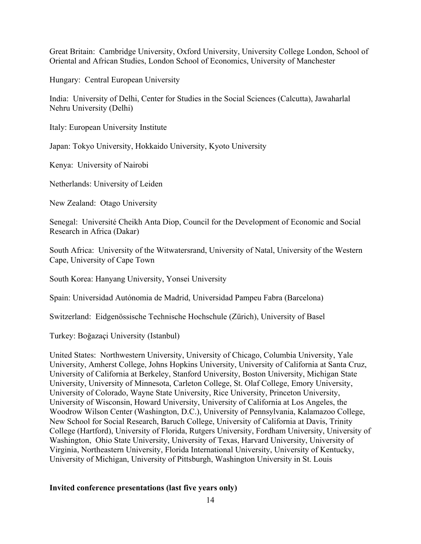Great Britain: Cambridge University, Oxford University, University College London, School of Oriental and African Studies, London School of Economics, University of Manchester

Hungary: Central European University

India: University of Delhi, Center for Studies in the Social Sciences (Calcutta), Jawaharlal Nehru University (Delhi)

Italy: European University Institute

Japan: Tokyo University, Hokkaido University, Kyoto University

Kenya: University of Nairobi

Netherlands: University of Leiden

New Zealand: Otago University

Senegal: Université Cheikh Anta Diop, Council for the Development of Economic and Social Research in Africa (Dakar)

South Africa: University of the Witwatersrand, University of Natal, University of the Western Cape, University of Cape Town

South Korea: Hanyang University, Yonsei University

Spain: Universidad Autónomia de Madrid, Universidad Pampeu Fabra (Barcelona)

Switzerland: Eidgenössische Technische Hochschule (Zürich), University of Basel

Turkey: Boğazaçi University (Istanbul)

United States: Northwestern University, University of Chicago, Columbia University, Yale University, Amherst College, Johns Hopkins University, University of California at Santa Cruz, University of California at Berkeley, Stanford University, Boston University, Michigan State University, University of Minnesota, Carleton College, St. Olaf College, Emory University, University of Colorado, Wayne State University, Rice University, Princeton University, University of Wisconsin, Howard University, University of California at Los Angeles, the Woodrow Wilson Center (Washington, D.C.), University of Pennsylvania, Kalamazoo College, New School for Social Research, Baruch College, University of California at Davis, Trinity College (Hartford), University of Florida, Rutgers University, Fordham University, University of Washington, Ohio State University, University of Texas, Harvard University, University of Virginia, Northeastern University, Florida International University, University of Kentucky, University of Michigan, University of Pittsburgh, Washington University in St. Louis

# **Invited conference presentations (last five years only)**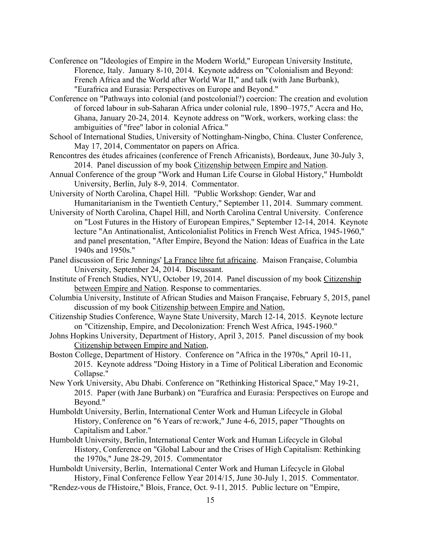- Conference on "Ideologies of Empire in the Modern World," European University Institute, Florence, Italy. January 8-10, 2014. Keynote address on "Colonialism and Beyond: French Africa and the World after World War II," and talk (with Jane Burbank), "Eurafrica and Eurasia: Perspectives on Europe and Beyond."
- Conference on "Pathways into colonial (and postcolonial?) coercion: The creation and evolution of forced labour in sub-Saharan Africa under colonial rule, 1890–1975," Accra and Ho, Ghana, January 20-24, 2014. Keynote address on "Work, workers, working class: the ambiguities of "free" labor in colonial Africa."
- School of International Studies, University of Nottingham-Ningbo, China. Cluster Conference, May 17, 2014, Commentator on papers on Africa.
- Rencontres des études africaines (conference of French Africanists), Bordeaux, June 30-July 3, 2014. Panel discussion of my book Citizenship between Empire and Nation.
- Annual Conference of the group "Work and Human Life Course in Global History," Humboldt University, Berlin, July 8-9, 2014. Commentator.
- University of North Carolina, Chapel Hill. "Public Workshop: Gender, War and Humanitarianism in the Twentieth Century," September 11, 2014. Summary comment.
- University of North Carolina, Chapel Hill, and North Carolina Central University. Conference on "Lost Futures in the History of European Empires," September 12-14, 2014. Keynote lecture "An Antinationalist, Anticolonialist Politics in French West Africa, 1945-1960," and panel presentation, "After Empire, Beyond the Nation: Ideas of Euafrica in the Late 1940s and 1950s."
- Panel discussion of Eric Jennings' La France libre fut africaine. Maison Française, Columbia University, September 24, 2014. Discussant.
- Institute of French Studies, NYU, October 19, 2014. Panel discussion of my book Citizenship between Empire and Nation. Response to commentaries.
- Columbia University, Institute of African Studies and Maison Française, February 5, 2015, panel discussion of my book Citizenship between Empire and Nation,
- Citizenship Studies Conference, Wayne State University, March 12-14, 2015. Keynote lecture on "Citizenship, Empire, and Decolonization: French West Africa, 1945-1960."
- Johns Hopkins University, Department of History, April 3, 2015. Panel discussion of my book Citizenship between Empire and Nation,
- Boston College, Department of History. Conference on "Africa in the 1970s," April 10-11, 2015. Keynote address "Doing History in a Time of Political Liberation and Economic Collapse."
- New York University, Abu Dhabi. Conference on "Rethinking Historical Space," May 19-21, 2015. Paper (with Jane Burbank) on "Eurafrica and Eurasia: Perspectives on Europe and Beyond."
- Humboldt University, Berlin, International Center Work and Human Lifecycle in Global History, Conference on "6 Years of re:work," June 4-6, 2015, paper "Thoughts on Capitalism and Labor."
- Humboldt University, Berlin, International Center Work and Human Lifecycle in Global History, Conference on "Global Labour and the Crises of High Capitalism: Rethinking the 1970s," June 28-29, 2015. Commentator
- Humboldt University, Berlin, International Center Work and Human Lifecycle in Global History, Final Conference Fellow Year 2014/15, June 30-July 1, 2015. Commentator.
- "Rendez-vous de l'Histoire," Blois, France, Oct. 9-11, 2015. Public lecture on "Empire,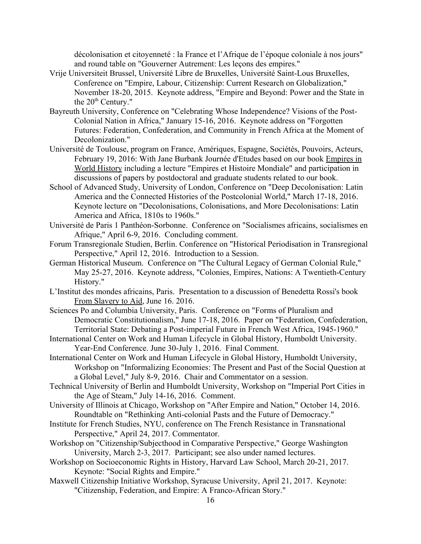décolonisation et citoyenneté : la France et l'Afrique de l'époque coloniale à nos jours" and round table on "Gouverner Autrement: Les leçons des empires."

- Vrije Universiteit Brussel, Université Libre de Bruxelles, Université Saint-Lous Bruxelles, Conference on "Empire, Labour, Citizenship: Current Research on Globalization," November 18-20, 2015. Keynote address, "Empire and Beyond: Power and the State in the  $20<sup>th</sup>$  Century."
- Bayreuth University, Conference on "Celebrating Whose Independence? Visions of the Post-Colonial Nation in Africa," January 15-16, 2016. Keynote address on "Forgotten Futures: Federation, Confederation, and Community in French Africa at the Moment of Decolonization."
- Université de Toulouse, program on France, Amériques, Espagne, Sociétés, Pouvoirs, Acteurs, February 19, 2016: With Jane Burbank Journée d'Etudes based on our book Empires in World History including a lecture "Empires et Histoire Mondiale" and participation in discussions of papers by postdoctoral and graduate students related to our book.
- School of Advanced Study, University of London, Conference on "Deep Decolonisation: Latin America and the Connected Histories of the Postcolonial World," March 17-18, 2016. Keynote lecture on "Decolonisations, Colonisations, and More Decolonisations: Latin America and Africa, 1810s to 1960s."
- Université de Paris 1 Panthéon-Sorbonne. Conference on "Socialismes africains, socialismes en Afrique," April 6-9, 2016. Concluding comment.
- Forum Transregionale Studien, Berlin. Conference on "Historical Periodisation in Transregional Perspective," April 12, 2016. Introduction to a Session.
- German Historical Museum. Conference on "The Cultural Legacy of German Colonial Rule," May 25-27, 2016. Keynote address, "Colonies, Empires, Nations: A Twentieth-Century History."
- L'Institut des mondes africains, Paris. Presentation to a discussion of Benedetta Rossi's book From Slavery to Aid, June 16. 2016.
- Sciences Po and Columbia University, Paris. Conference on "Forms of Pluralism and Democratic Constitutionalism," June 17-18, 2016. Paper on "Federation, Confederation, Territorial State: Debating a Post-imperial Future in French West Africa, 1945-1960."
- International Center on Work and Human Lifecycle in Global History, Humboldt University. Year-End Conference. June 30-July 1, 2016. Final Comment.
- International Center on Work and Human Lifecycle in Global History, Humboldt University, Workshop on "Informalizing Economies: The Present and Past of the Social Question at a Global Level," July 8-9, 2016. Chair and Commentator on a session.
- Technical University of Berlin and Humboldt University, Workshop on "Imperial Port Cities in the Age of Steam," July 14-16, 2016. Comment.
- University of Illinois at Chicago, Workshop on "After Empire and Nation," October 14, 2016. Roundtable on "Rethinking Anti-colonial Pasts and the Future of Democracy."
- Institute for French Studies, NYU, conference on The French Resistance in Transnational Perspective," April 24, 2017. Commentator.
- Workshop on "Citizenship/Subjecthood in Comparative Perspective," George Washington University, March 2-3, 2017. Participant; see also under named lectures.
- Workshop on Socioeconomic Rights in History, Harvard Law School, March 20-21, 2017. Keynote: "Social Rights and Empire."
- Maxwell Citizenship Initiative Workshop, Syracuse University, April 21, 2017. Keynote: "Citizenship, Federation, and Empire: A Franco-African Story."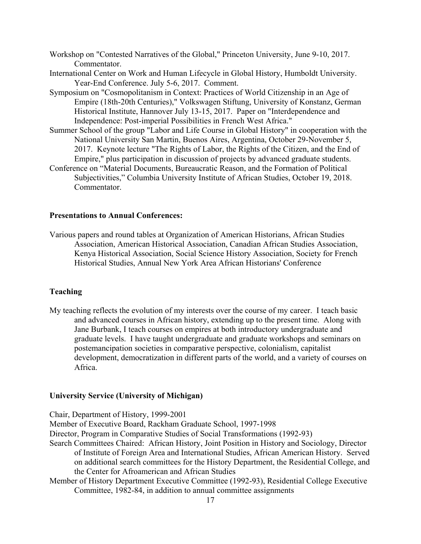- Workshop on "Contested Narratives of the Global," Princeton University, June 9-10, 2017. Commentator.
- International Center on Work and Human Lifecycle in Global History, Humboldt University. Year-End Conference. July 5-6, 2017. Comment.
- Symposium on "Cosmopolitanism in Context: Practices of World Citizenship in an Age of Empire (18th-20th Centuries)," Volkswagen Stiftung, University of Konstanz, German Historical Institute, Hannover July 13-15, 2017. Paper on "Interdependence and Independence: Post-imperial Possibilities in French West Africa."
- Summer School of the group "Labor and Life Course in Global History" in cooperation with the National University San Martin, Buenos Aires, Argentina, October 29-November 5, 2017. Keynote lecture "The Rights of Labor, the Rights of the Citizen, and the End of Empire," plus participation in discussion of projects by advanced graduate students.
- Conference on "Material Documents, Bureaucratic Reason, and the Formation of Political Subjectivities," Columbia University Institute of African Studies, October 19, 2018. Commentator.

## **Presentations to Annual Conferences:**

Various papers and round tables at Organization of American Historians, African Studies Association, American Historical Association, Canadian African Studies Association, Kenya Historical Association, Social Science History Association, Society for French Historical Studies, Annual New York Area African Historians' Conference

#### **Teaching**

My teaching reflects the evolution of my interests over the course of my career. I teach basic and advanced courses in African history, extending up to the present time. Along with Jane Burbank, I teach courses on empires at both introductory undergraduate and graduate levels. I have taught undergraduate and graduate workshops and seminars on postemancipation societies in comparative perspective, colonialism, capitalist development, democratization in different parts of the world, and a variety of courses on Africa.

#### **University Service (University of Michigan)**

Chair, Department of History, 1999-2001

Member of Executive Board, Rackham Graduate School, 1997-1998

Director, Program in Comparative Studies of Social Transformations (1992-93)

- Search Committees Chaired: African History, Joint Position in History and Sociology, Director of Institute of Foreign Area and International Studies, African American History. Served on additional search committees for the History Department, the Residential College, and the Center for Afroamerican and African Studies
- Member of History Department Executive Committee (1992-93), Residential College Executive Committee, 1982-84, in addition to annual committee assignments